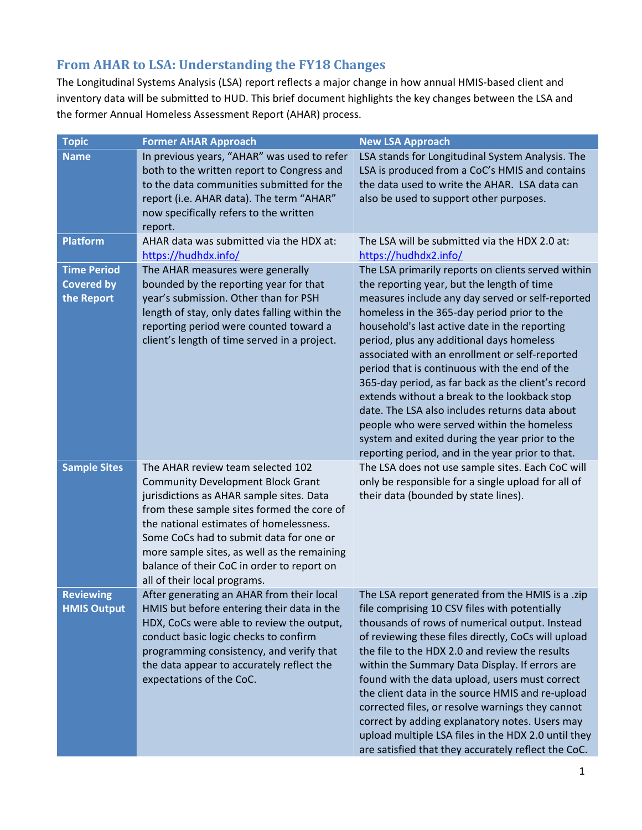## **From AHAR to LSA: Understanding the FY18 Changes**

The Longitudinal Systems Analysis (LSA) report reflects a major change in how annual HMIS-based client and inventory data will be submitted to HUD. This brief document highlights the key changes between the LSA and the former Annual Homeless Assessment Report (AHAR) process.

| <b>Topic</b>        | <b>Former AHAR Approach</b>                                                             | <b>New LSA Approach</b>                                                                               |
|---------------------|-----------------------------------------------------------------------------------------|-------------------------------------------------------------------------------------------------------|
| <b>Name</b>         | In previous years, "AHAR" was used to refer                                             | LSA stands for Longitudinal System Analysis. The                                                      |
|                     | both to the written report to Congress and<br>to the data communities submitted for the | LSA is produced from a CoC's HMIS and contains                                                        |
|                     | report (i.e. AHAR data). The term "AHAR"                                                | the data used to write the AHAR. LSA data can<br>also be used to support other purposes.              |
|                     | now specifically refers to the written                                                  |                                                                                                       |
|                     | report.                                                                                 |                                                                                                       |
| <b>Platform</b>     | AHAR data was submitted via the HDX at:<br>https://hudhdx.info/                         | The LSA will be submitted via the HDX 2.0 at:<br>https://hudhdx2.info/                                |
| <b>Time Period</b>  | The AHAR measures were generally                                                        | The LSA primarily reports on clients served within                                                    |
| <b>Covered by</b>   | bounded by the reporting year for that                                                  | the reporting year, but the length of time                                                            |
| the Report          | year's submission. Other than for PSH<br>length of stay, only dates falling within the  | measures include any day served or self-reported<br>homeless in the 365-day period prior to the       |
|                     | reporting period were counted toward a                                                  | household's last active date in the reporting                                                         |
|                     | client's length of time served in a project.                                            | period, plus any additional days homeless                                                             |
|                     |                                                                                         | associated with an enrollment or self-reported                                                        |
|                     |                                                                                         | period that is continuous with the end of the<br>365-day period, as far back as the client's record   |
|                     |                                                                                         | extends without a break to the lookback stop                                                          |
|                     |                                                                                         | date. The LSA also includes returns data about                                                        |
|                     |                                                                                         | people who were served within the homeless                                                            |
|                     |                                                                                         | system and exited during the year prior to the                                                        |
| <b>Sample Sites</b> | The AHAR review team selected 102                                                       | reporting period, and in the year prior to that.<br>The LSA does not use sample sites. Each CoC will  |
|                     | <b>Community Development Block Grant</b>                                                | only be responsible for a single upload for all of                                                    |
|                     | jurisdictions as AHAR sample sites. Data                                                | their data (bounded by state lines).                                                                  |
|                     | from these sample sites formed the core of                                              |                                                                                                       |
|                     | the national estimates of homelessness.                                                 |                                                                                                       |
|                     | Some CoCs had to submit data for one or<br>more sample sites, as well as the remaining  |                                                                                                       |
|                     | balance of their CoC in order to report on                                              |                                                                                                       |
|                     | all of their local programs.                                                            |                                                                                                       |
| <b>Reviewing</b>    | After generating an AHAR from their local                                               | The LSA report generated from the HMIS is a .zip                                                      |
| <b>HMIS Output</b>  | HMIS but before entering their data in the                                              | file comprising 10 CSV files with potentially                                                         |
|                     | HDX, CoCs were able to review the output,                                               | thousands of rows of numerical output. Instead                                                        |
|                     | conduct basic logic checks to confirm<br>programming consistency, and verify that       | of reviewing these files directly, CoCs will upload<br>the file to the HDX 2.0 and review the results |
|                     | the data appear to accurately reflect the                                               | within the Summary Data Display. If errors are                                                        |
|                     | expectations of the CoC.                                                                | found with the data upload, users must correct                                                        |
|                     |                                                                                         | the client data in the source HMIS and re-upload                                                      |
|                     |                                                                                         | corrected files, or resolve warnings they cannot                                                      |
|                     |                                                                                         | correct by adding explanatory notes. Users may<br>upload multiple LSA files in the HDX 2.0 until they |
|                     |                                                                                         | are satisfied that they accurately reflect the CoC.                                                   |